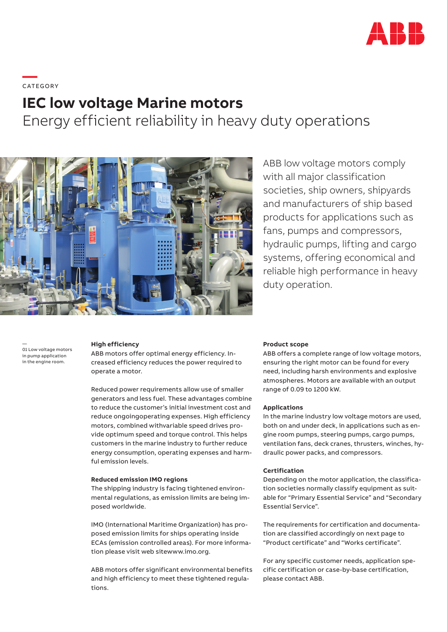

# **—**  C ATEGO RY

# **IEC low voltage Marine motors**

Energy efficient reliability in heavy duty operations



ABB low voltage motors comply with all major classification societies, ship owners, shipyards and manufacturers of ship based products for applications such as fans, pumps and compressors, hydraulic pumps, lifting and cargo systems, offering economical and reliable high performance in heavy duty operation.

01 Low voltage motors in pump application in the engine room.

—

### **High efficiency**

ABB motors offer optimal energy efficiency. Increased efficiency reduces the power required to operate a motor.

Reduced power requirements allow use of smaller generators and less fuel. These advantages combine to reduce the customer's initial investment cost and reduce ongoingoperating expenses. High efficiency motors, combined withvariable speed drives provide optimum speed and torque control. This helps customers in the marine industry to further reduce energy consumption, operating expenses and harmful emission levels.

#### **Reduced emission IMO regions**

The shipping industry is facing tightened environmental regulations, as emission limits are being imposed worldwide.

IMO (International Maritime Organization) has proposed emission limits for ships operating inside ECAs (emission controlled areas). For more information please visit web sitewww.imo.org.

ABB motors offer significant environmental benefits and high efficiency to meet these tightened regulations.

#### **Product scope**

ABB offers a complete range of low voltage motors, ensuring the right motor can be found for every need, including harsh environments and explosive atmospheres. Motors are available with an output range of 0.09 to 1200 kW.

# **Applications**

In the marine industry low voltage motors are used, both on and under deck, in applications such as engine room pumps, steering pumps, cargo pumps, ventilation fans, deck cranes, thrusters, winches, hydraulic power packs, and compressors.

#### **Certification**

Depending on the motor application, the classification societies normally classify equipment as suitable for "Primary Essential Service" and "Secondary Essential Service".

The requirements for certification and documentation are classified accordingly on next page to "Product certificate" and "Works certificate".

For any specific customer needs, application specific certification or case-by-base certification, please contact ABB.